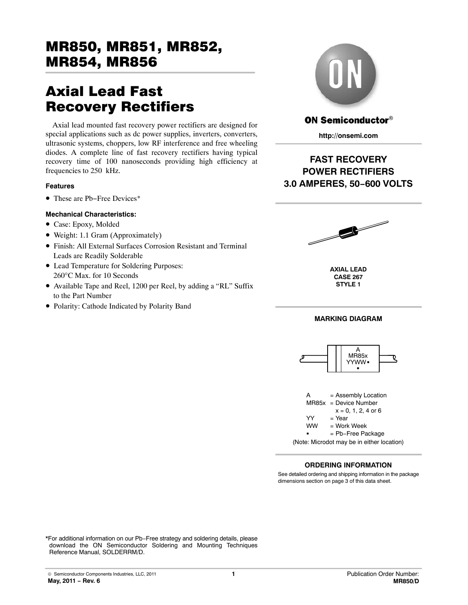# MR850, MR851, MR852, MR854, MR856

# Axial Lead Fast Recovery Rectifiers

Axial lead mounted fast recovery power rectifiers are designed for special applications such as dc power supplies, inverters, converters, ultrasonic systems, choppers, low RF interference and free wheeling diodes. A complete line of fast recovery rectifiers having typical recovery time of 100 nanoseconds providing high efficiency at frequencies to 250 kHz.

#### **Features**

• These are Pb−Free Devices\*

#### **Mechanical Characteristics:**

- Case: Epoxy, Molded
- Weight: 1.1 Gram (Approximately)
- Finish: All External Surfaces Corrosion Resistant and Terminal Leads are Readily Solderable
- Lead Temperature for Soldering Purposes: 260°C Max. for 10 Seconds
- Available Tape and Reel, 1200 per Reel, by adding a "RL" Suffix to the Part Number
- Polarity: Cathode Indicated by Polarity Band



### **ON Semiconductor®**

**http://onsemi.com**

# **FAST RECOVERY POWER RECTIFIERS 3.0 AMPERES, 50−600 VOLTS**



**AXIAL LEAD CASE 267 STYLE 1**

#### **MARKING DIAGRAM**





(Note: Microdot may be in either location)

#### **ORDERING INFORMATION**

See detailed ordering and shipping information in the package dimensions section on page [3](#page-2-0) of this data sheet.

\*For additional information on our Pb−Free strategy and soldering details, please download the ON Semiconductor Soldering and Mounting Techniques Reference Manual, SOLDERRM/D.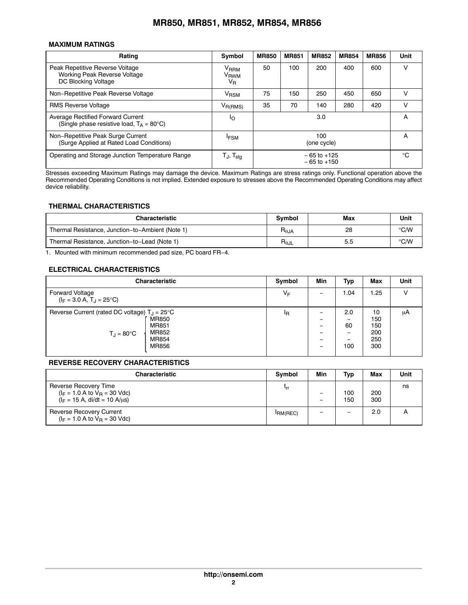### **MR850, MR851, MR852, MR854, MR856**

#### **MAXIMUM RATINGS**

| Rating                                                                                  | Symbol                                                   | <b>MR850</b> | <b>MR851</b> | <b>MR852</b>                       | <b>MR854</b> | <b>MR856</b> | Unit         |
|-----------------------------------------------------------------------------------------|----------------------------------------------------------|--------------|--------------|------------------------------------|--------------|--------------|--------------|
| Peak Repetitive Reverse Voltage<br>Working Peak Reverse Voltage<br>DC Blocking Voltage  | V <sub>RRM</sub><br>V <sub>RWM</sub><br>$V_{\mathsf{R}}$ | 50           | 100          | 200                                | 400          | 600          | ν            |
| Non-Repetitive Peak Reverse Voltage                                                     | <b>V</b> <sub>RSM</sub>                                  | 75           | 150          | 250                                | 450          | 650          | v            |
| <b>RMS Reverse Voltage</b>                                                              | $V_{R(RMS)}$                                             | 35           | 70           | 140                                | 280          | 420          | v            |
| Average Rectified Forward Current<br>(Single phase resistive load, $T_{\Delta}$ = 80°C) | Ιo                                                       |              |              | 3.0                                |              |              | A            |
| Non-Repetitive Peak Surge Current<br>(Surge Applied at Rated Load Conditions)           | <b>IFSM</b>                                              |              |              | 100<br>(one cycle)                 |              |              | A            |
| Operating and Storage Junction Temperature Range                                        | $T_J$ , $T_{\text{stg}}$                                 |              |              | $-65$ to $+125$<br>$-65$ to $+150$ |              |              | $^{\circ}$ C |

Stresses exceeding Maximum Ratings may damage the device. Maximum Ratings are stress ratings only. Functional operation above the Recommended Operating Conditions is not implied. Extended exposure to stresses above the Recommended Operating Conditions may affect device reliability.

#### **THERMAL CHARACTERISTICS**

| <b>Characteristic</b>                            | Symbol                 | Max | Unit          |
|--------------------------------------------------|------------------------|-----|---------------|
| Thermal Resistance, Junction-to-Ambient (Note 1) | $R_{\theta,JA}$        | 28  | $\degree$ C/W |
| Thermal Resistance, Junction-to-Lead (Note 1)    | $R_{\theta \text{JL}}$ | 5.5 | $\degree$ C/W |

1. Mounted with minimum recommended pad size, PC board FR−4.

#### **ELECTRICAL CHARACTERISTICS**

| <b>Characteristic</b>                                                                                                              | Symbol | Min                                                       | Typ                   | Max                                   | <b>Unit</b> |
|------------------------------------------------------------------------------------------------------------------------------------|--------|-----------------------------------------------------------|-----------------------|---------------------------------------|-------------|
| <b>Forward Voltage</b><br>$(I_F = 3.0 A, T_1 = 25^{\circ}C)$                                                                       | $V_F$  |                                                           | 1.04                  | 1.25                                  | V           |
| Reverse Current (rated DC voltage) $T_1 = 25^{\circ}$ C<br>MR850<br>MR851<br>MR852<br>$T_{\rm J} = 80^{\circ}$ C<br>MR854<br>MR856 | ΙR     | $\overline{\phantom{0}}$<br>$\overline{\phantom{0}}$<br>- | 2.0<br>60<br>-<br>100 | 10<br>150<br>150<br>200<br>250<br>300 | μA          |

#### **REVERSE RECOVERY CHARACTERISTICS**

| <b>Characteristic</b>                                                                                                        | Symbol     | Min                           | Typ        | Max        | Unit |
|------------------------------------------------------------------------------------------------------------------------------|------------|-------------------------------|------------|------------|------|
| Reverse Recovery Time<br>$(I_F = 1.0 A to V_B = 30 Vdc)$<br>$(I_F = 15 \text{ A}, \text{ di/dt} = 10 \text{ A/}\mu\text{s})$ | <b>Lrr</b> | $\overline{\phantom{0}}$<br>- | 100<br>150 | 200<br>300 | ns   |
| Reverse Recovery Current<br>$(I_F = 1.0 A to V_B = 30 Vdc)$                                                                  | IRM(REC)   |                               |            | 2.0        | n    |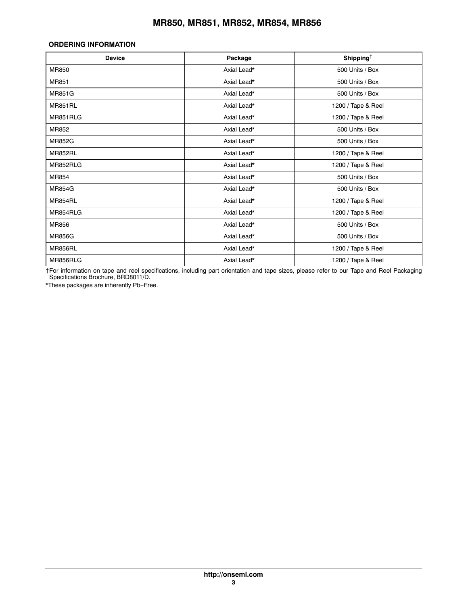## **MR850, MR851, MR852, MR854, MR856**

#### <span id="page-2-0"></span>**ORDERING INFORMATION**

| <b>Device</b>  | Package     | Shipping <sup><math>\dagger</math></sup> |
|----------------|-------------|------------------------------------------|
| <b>MR850</b>   | Axial Lead* | 500 Units / Box                          |
| MR851          | Axial Lead* | 500 Units / Box                          |
| <b>MR851G</b>  | Axial Lead* | 500 Units / Box                          |
| <b>MR851RL</b> | Axial Lead* | 1200 / Tape & Reel                       |
| MR851RLG       | Axial Lead* | 1200 / Tape & Reel                       |
| MR852          | Axial Lead* | 500 Units / Box                          |
| <b>MR852G</b>  | Axial Lead* | 500 Units / Box                          |
| <b>MR852RL</b> | Axial Lead* | 1200 / Tape & Reel                       |
| MR852RLG       | Axial Lead* | 1200 / Tape & Reel                       |
| <b>MR854</b>   | Axial Lead* | 500 Units / Box                          |
| <b>MR854G</b>  | Axial Lead* | 500 Units / Box                          |
| <b>MR854RL</b> | Axial Lead* | 1200 / Tape & Reel                       |
| MR854RLG       | Axial Lead* | 1200 / Tape & Reel                       |
| MR856          | Axial Lead* | 500 Units / Box                          |
| <b>MR856G</b>  | Axial Lead* | 500 Units / Box                          |
| <b>MR856RL</b> | Axial Lead* | 1200 / Tape & Reel                       |
| MR856RLG       | Axial Lead* | 1200 / Tape & Reel                       |

†For information on tape and reel specifications, including part orientation and tape sizes, please refer to our Tape and Reel Packaging Specifications Brochure, BRD8011/D.

\*These packages are inherently Pb−Free.